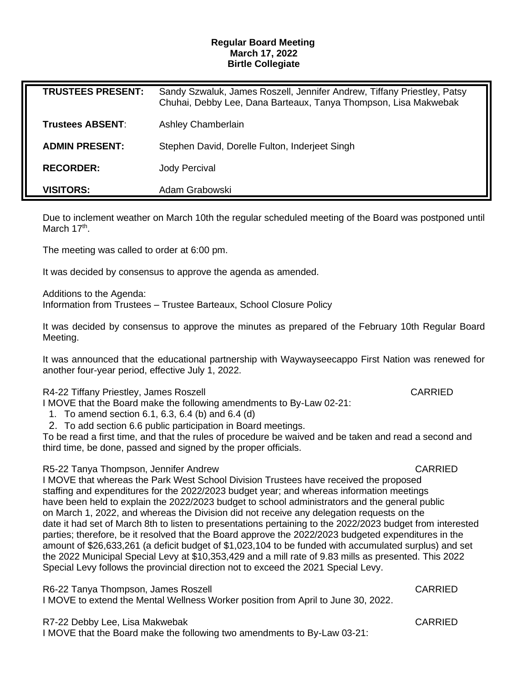## **Regular Board Meeting March 17, 2022 Birtle Collegiate**

| <b>TRUSTEES PRESENT:</b> | Sandy Szwaluk, James Roszell, Jennifer Andrew, Tiffany Priestley, Patsy<br>Chuhai, Debby Lee, Dana Barteaux, Tanya Thompson, Lisa Makwebak |
|--------------------------|--------------------------------------------------------------------------------------------------------------------------------------------|
| <b>Trustees ABSENT:</b>  | <b>Ashley Chamberlain</b>                                                                                                                  |
| <b>ADMIN PRESENT:</b>    | Stephen David, Dorelle Fulton, Inderjeet Singh                                                                                             |
| <b>RECORDER:</b>         | <b>Jody Percival</b>                                                                                                                       |
| <b>VISITORS:</b>         | Adam Grabowski                                                                                                                             |

Due to inclement weather on March 10th the regular scheduled meeting of the Board was postponed until March 17<sup>th</sup>.

The meeting was called to order at 6:00 pm.

It was decided by consensus to approve the agenda as amended.

Additions to the Agenda:

Information from Trustees – Trustee Barteaux, School Closure Policy

It was decided by consensus to approve the minutes as prepared of the February 10th Regular Board Meeting.

It was announced that the educational partnership with Waywayseecappo First Nation was renewed for another four-year period, effective July 1, 2022.

## R4-22 Tiffany Priestley, James Roszell CARRIED

I MOVE that the Board make the following amendments to By-Law 02-21:

1. To amend section 6.1, 6.3, 6.4 (b) and 6.4 (d)

2. To add section 6.6 public participation in Board meetings.

To be read a first time, and that the rules of procedure be waived and be taken and read a second and third time, be done, passed and signed by the proper officials.

## R5-22 Tanya Thompson, Jennifer Andrew CARRIED

I MOVE that whereas the Park West School Division Trustees have received the proposed staffing and expenditures for the 2022/2023 budget year; and whereas information meetings have been held to explain the 2022/2023 budget to school administrators and the general public on March 1, 2022, and whereas the Division did not receive any delegation requests on the date it had set of March 8th to listen to presentations pertaining to the 2022/2023 budget from interested parties; therefore, be it resolved that the Board approve the 2022/2023 budgeted expenditures in the amount of \$26,633,261 (a deficit budget of \$1,023,104 to be funded with accumulated surplus) and set the 2022 Municipal Special Levy at \$10,353,429 and a mill rate of 9.83 mills as presented. This 2022 Special Levy follows the provincial direction not to exceed the 2021 Special Levy.

R6-22 Tanya Thompson, James Roszell CARRIED

I MOVE to extend the Mental Wellness Worker position from April to June 30, 2022.

R7-22 Debby Lee, Lisa Makwebak CARRIED

I MOVE that the Board make the following two amendments to By-Law 03-21: